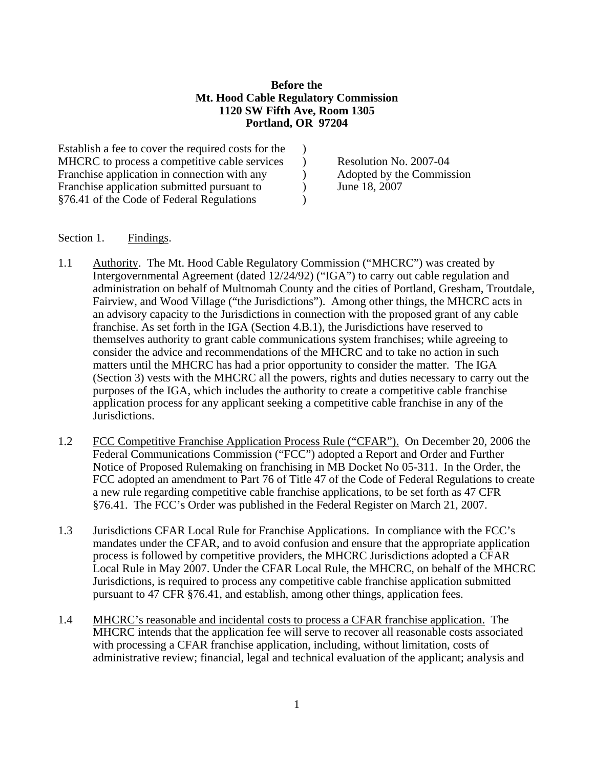## **Before the Mt. Hood Cable Regulatory Commission 1120 SW Fifth Ave, Room 1305 Portland, OR 97204**

Establish a fee to cover the required costs for the  $\qquad$ ) MHCRC to process a competitive cable services (a) Resolution No. 2007-04 Franchise application in connection with any (a) Adopted by the Commission Franchise application submitted pursuant to  $\qquad$  ) June 18, 2007 §76.41 of the Code of Federal Regulations )

## Section 1. Findings.

- 1.1 Authority. The Mt. Hood Cable Regulatory Commission ("MHCRC") was created by Intergovernmental Agreement (dated 12/24/92) ("IGA") to carry out cable regulation and administration on behalf of Multnomah County and the cities of Portland, Gresham, Troutdale, Fairview, and Wood Village ("the Jurisdictions"). Among other things, the MHCRC acts in an advisory capacity to the Jurisdictions in connection with the proposed grant of any cable franchise. As set forth in the IGA (Section 4.B.1), the Jurisdictions have reserved to themselves authority to grant cable communications system franchises; while agreeing to consider the advice and recommendations of the MHCRC and to take no action in such matters until the MHCRC has had a prior opportunity to consider the matter. The IGA (Section 3) vests with the MHCRC all the powers, rights and duties necessary to carry out the purposes of the IGA, which includes the authority to create a competitive cable franchise application process for any applicant seeking a competitive cable franchise in any of the Jurisdictions.
- 1.2 FCC Competitive Franchise Application Process Rule ("CFAR"). On December 20, 2006 the Federal Communications Commission ("FCC") adopted a Report and Order and Further Notice of Proposed Rulemaking on franchising in MB Docket No 05-311. In the Order, the FCC adopted an amendment to Part 76 of Title 47 of the Code of Federal Regulations to create a new rule regarding competitive cable franchise applications, to be set forth as 47 CFR §76.41. The FCC's Order was published in the Federal Register on March 21, 2007.
- 1.3 Jurisdictions CFAR Local Rule for Franchise Applications. In compliance with the FCC's mandates under the CFAR, and to avoid confusion and ensure that the appropriate application process is followed by competitive providers, the MHCRC Jurisdictions adopted a CFAR Local Rule in May 2007. Under the CFAR Local Rule, the MHCRC, on behalf of the MHCRC Jurisdictions, is required to process any competitive cable franchise application submitted pursuant to 47 CFR §76.41, and establish, among other things, application fees.
- 1.4 MHCRC's reasonable and incidental costs to process a CFAR franchise application. The MHCRC intends that the application fee will serve to recover all reasonable costs associated with processing a CFAR franchise application, including, without limitation, costs of administrative review; financial, legal and technical evaluation of the applicant; analysis and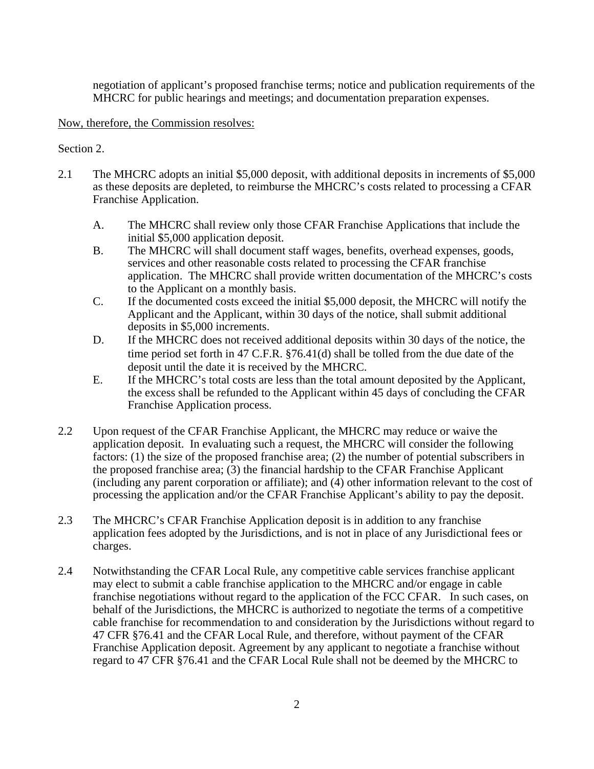negotiation of applicant's proposed franchise terms; notice and publication requirements of the MHCRC for public hearings and meetings; and documentation preparation expenses.

## Now, therefore, the Commission resolves:

## Section 2.

- 2.1 The MHCRC adopts an initial \$5,000 deposit, with additional deposits in increments of \$5,000 as these deposits are depleted, to reimburse the MHCRC's costs related to processing a CFAR Franchise Application.
	- A. The MHCRC shall review only those CFAR Franchise Applications that include the initial \$5,000 application deposit.
	- B. The MHCRC will shall document staff wages, benefits, overhead expenses, goods, services and other reasonable costs related to processing the CFAR franchise application. The MHCRC shall provide written documentation of the MHCRC's costs to the Applicant on a monthly basis.
	- C. If the documented costs exceed the initial \$5,000 deposit, the MHCRC will notify the Applicant and the Applicant, within 30 days of the notice, shall submit additional deposits in \$5,000 increments.
	- D. If the MHCRC does not received additional deposits within 30 days of the notice, the time period set forth in 47 C.F.R. §76.41(d) shall be tolled from the due date of the deposit until the date it is received by the MHCRC.
	- E. If the MHCRC's total costs are less than the total amount deposited by the Applicant, the excess shall be refunded to the Applicant within 45 days of concluding the CFAR Franchise Application process.
- 2.2 Upon request of the CFAR Franchise Applicant, the MHCRC may reduce or waive the application deposit. In evaluating such a request, the MHCRC will consider the following factors: (1) the size of the proposed franchise area; (2) the number of potential subscribers in the proposed franchise area; (3) the financial hardship to the CFAR Franchise Applicant (including any parent corporation or affiliate); and (4) other information relevant to the cost of processing the application and/or the CFAR Franchise Applicant's ability to pay the deposit.
- 2.3 The MHCRC's CFAR Franchise Application deposit is in addition to any franchise application fees adopted by the Jurisdictions, and is not in place of any Jurisdictional fees or charges.
- 2.4 Notwithstanding the CFAR Local Rule, any competitive cable services franchise applicant may elect to submit a cable franchise application to the MHCRC and/or engage in cable franchise negotiations without regard to the application of the FCC CFAR. In such cases, on behalf of the Jurisdictions, the MHCRC is authorized to negotiate the terms of a competitive cable franchise for recommendation to and consideration by the Jurisdictions without regard to 47 CFR §76.41 and the CFAR Local Rule, and therefore, without payment of the CFAR Franchise Application deposit. Agreement by any applicant to negotiate a franchise without regard to 47 CFR §76.41 and the CFAR Local Rule shall not be deemed by the MHCRC to